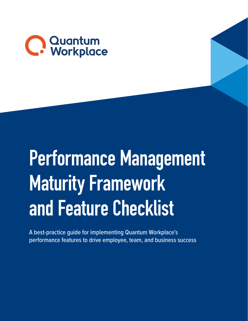

## Performance Management Maturity Framework and Feature Checklist

A best-practice guide for implementing Quantum Workplace's performance features to drive employee, team, and business success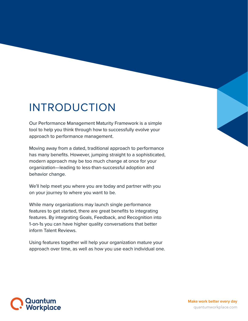## INTRODUCTION

Our Performance Management Maturity Framework is a simple tool to help you think through how to successfully evolve your approach to performance management.

Moving away from a dated, traditional approach to performance has many benefits. However, jumping straight to a sophisticated, modern approach may be too much change at once for your organization—leading to less-than-successful adoption and behavior change.

We'll help meet you where you are today and partner with you on your journey to where you want to be.

While many organizations may launch single performance features to get started, there are great benefits to integrating features. By integrating Goals, Feedback, and Recognition into 1-on-1s you can have higher quality conversations that better inform Talent Reviews.

Using features together will help your organization mature your approach over time, as well as how you use each individual one.

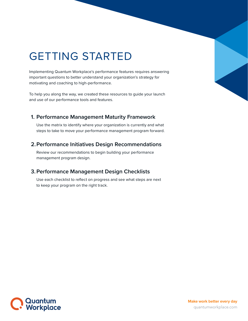## GETTING STARTED

Implementing Quantum Workplace's performance features requires answering important questions to better understand your organization's strategy for motivating and coaching to high-performance.

To help you along the way, we created these resources to guide your launch and use of our performance tools and features.

#### **1. Performance Management Maturity Framework**

Use the matrix to identify where your organization is currently and what steps to take to move your performance management program forward.

#### **2.Performance Initiatives Design Recommendations**

Review our recommendations to begin building your performance management program design.

### **3.Performance Management Design Checklists**

Use each checklist to reflect on progress and see what steps are next to keep your program on the right track.

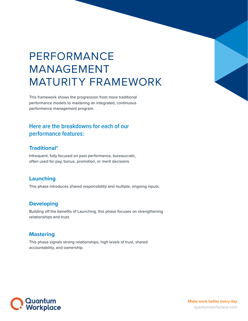## PERFORMANCE MANAGEMENT MATURITY FRAMEWORK

This framework shows the progression from more traditional performance models to mastering an integrated, continuous performance management program.

## **Here are the breakdowns for each of our performance features:**

#### **Traditional\***

Infrequent, fully focused on past performance, bureaucratic, often used for pay, bonus, promotion, or merit decisions.

### **Launching**

This phase introduces shared responsibility and multiple, ongoing inputs.

#### **Developing**

Building off the benefits of Launching, this phase focuses on strengthening relationships and trust.

### **Mastering**

This phase signals strong relationships, high levels of trust, shared accountability, and ownership.



**Make work better every day** <quantumworkplace.com>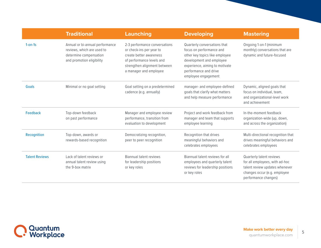|                       | <b>Traditional</b>                                                                                                   | Launching                                                                                                                                                                   | <b>Developing</b>                                                                                                                                                                                        | <b>Mastering</b>                                                                                                                                     |
|-----------------------|----------------------------------------------------------------------------------------------------------------------|-----------------------------------------------------------------------------------------------------------------------------------------------------------------------------|----------------------------------------------------------------------------------------------------------------------------------------------------------------------------------------------------------|------------------------------------------------------------------------------------------------------------------------------------------------------|
| $1$ -on-1s            | Annual or bi-annual performance<br>reviews, which are used to<br>determine compensation<br>and promotion eligibility | 2-3 performance conversations<br>or check-ins per year to<br>create better awareness<br>of performance levels and<br>strengthen alignment between<br>a manager and employee | Quarterly conversations that<br>focus on performance and<br>other key topics like employee<br>development and employee<br>experience, aiming to motivate<br>performance and drive<br>employee engagement | Ongoing 1-on-1 (minimum<br>monthly) conversations that are<br>dynamic and future-focused                                                             |
| <b>Goals</b>          | Minimal or no goal setting                                                                                           | Goal setting on a predetermined<br>cadence (e.g. annually)                                                                                                                  | manager- and employee-defined<br>goals that clarify what matters<br>and help measure performance                                                                                                         | Dynamic, aligned goals that<br>focus on individual, team,<br>and organizational-level work<br>and achievement                                        |
| <b>Feedback</b>       | Top-down feedback<br>on past performance                                                                             | Manager and employee review<br>performance, transition from<br>evaluation to development                                                                                    | Project and work feedback from<br>manager and team that supports<br>employee learning                                                                                                                    | In-the-moment feedback<br>organization-wide (up, down,<br>and across the organization)                                                               |
| Recognition           | Top-down, awards or<br>rewards-based recognition                                                                     | Democratizing recognition,<br>peer to peer recognition                                                                                                                      | Recognition that drives<br>meaningful behaviors and<br>celebrates employees                                                                                                                              | Multi-directional recognition that<br>drives meaningful behaviors and<br>celebrates employees                                                        |
| <b>Talent Reviews</b> | Lack of talent reviews or<br>annual talent review using<br>the 9-box matrix                                          | Biannual talent reviews<br>for leadership positions<br>or key roles                                                                                                         | Biannual talent reviews for all<br>employees and quarterly talent<br>reviews for leadership positions<br>or key roles                                                                                    | Quarterly talent reviews<br>for all employees, with ad-hoc<br>talent review updates whenever<br>changes occur (e.g. employee<br>performance changes) |

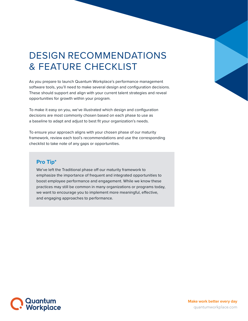## DESIGN RECOMMENDATIONS & FEATURE CHECKLIST

As you prepare to launch Quantum Workplace's performance management software tools, you'll need to make several design and configuration decisions. These should support and align with your current talent strategies and reveal opportunities for growth within your program.

To make it easy on you, we've illustrated which design and configuration decisions are most commonly chosen based on each phase to use as a baseline to adapt and adjust to best fit your organization's needs.

To ensure your approach aligns with your chosen phase of our maturity framework, review each tool's recommendations and use the corresponding checklist to take note of any gaps or opportunities.

### **Pro Tip\***

We've left the Traditional phase off our maturity framework to emphasize the importance of frequent and integrated opportunities to boost employee performance and engagement. While we know these practices may still be common in many organizations or programs today, we want to encourage you to implement more meaningful, effective, and engaging approaches to performance.

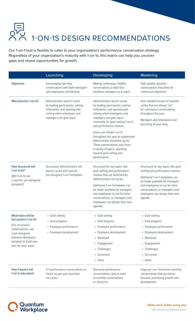## U<br>K 1-ON-1S DESIGN RECOMMENDATIONS

Our 1-on-1 tool is flexible to cater to your organization's performance conversation strategy. Regardless of your organization's maturity with 1-on-1s, this matrix can help you uncover gaps and reveal opportunities for growth.

|                                               | Launching                                                                                                                                                 | Developing                                                                                                                                                                                                                                               | <b>Mastering</b>                                                                                                                                                                   |
|-----------------------------------------------|-----------------------------------------------------------------------------------------------------------------------------------------------------------|----------------------------------------------------------------------------------------------------------------------------------------------------------------------------------------------------------------------------------------------------------|------------------------------------------------------------------------------------------------------------------------------------------------------------------------------------|
| <b>Objectives</b>                             | Encouraging two-way<br>conversations with both managers<br>and employees contributing.                                                                    | Making continuous, healthy<br>conversations a habit that<br>positions managers as a coach.                                                                                                                                                               | High-quality, dynamic<br>conversations that allow for<br>continuous alignment.                                                                                                     |
| Who launches 1-on-1s?                         | Administrators launch cycles<br>by loading participants, setting<br>milestones, and opening and<br>closing when employees and<br>managers can give input. | Administrators launch cycles<br>by loading participants, setting<br>milestones, and opening and<br>closing when employees and<br>managers can give input-<br>commonly for goal-setting 1-on-1s<br>and performance reviews.<br>Users can initiate 1-on-1s | User-initiated as part of anytime<br>cycles that are always "on"<br>for continuous conversations<br>throughout the year.<br>Managers and employees own<br>launching all year long. |
|                                               |                                                                                                                                                           | throughout the year to supplement<br>Administrator-launched cycles.<br>These conversations may cover<br>a variety of topics, spanning<br>beyond goal-setting and<br>performance.                                                                         |                                                                                                                                                                                    |
| How structured will                           | Structured. Administrators will<br>launch cycles with specific<br>pre-designed 1-on-1 templates.                                                          | Structured for key topics like<br>goal-setting and performance<br>reviews that are launched by<br>Administrators via cycles.                                                                                                                             | Structured for key topics like goal-                                                                                                                                               |
| $1$ -on-1s be?                                |                                                                                                                                                           |                                                                                                                                                                                                                                                          | setting and performance reviews.                                                                                                                                                   |
| (Will 1-on-1s use<br>a specific, pre-designed |                                                                                                                                                           |                                                                                                                                                                                                                                                          | Additional 1-on-1 templates can<br>be made available for managers                                                                                                                  |
| template?)                                    |                                                                                                                                                           | Additional 1-on-1 templates can<br>be made available for managers<br>and employees to use for other<br>conversations, or managers and<br>employees can design their own<br>agenda.                                                                       | and employees to use for other<br>conversations, or managers and<br>employees can design their own<br>agenda.                                                                      |
| What topics will be                           | • Goal-setting                                                                                                                                            | • Goal-setting                                                                                                                                                                                                                                           | • Goal-setting                                                                                                                                                                     |
| discussed in 1-on-1s?                         | • Goal progress                                                                                                                                           | • Goal progress                                                                                                                                                                                                                                          | • Goal progress                                                                                                                                                                    |
| (For structured<br>conversations, use         | • Employee performance                                                                                                                                    | • Employee performance                                                                                                                                                                                                                                   | • Employee performance                                                                                                                                                             |
| a pre-designed                                | • Employee development                                                                                                                                    | • Employee development                                                                                                                                                                                                                                   | • Employee development                                                                                                                                                             |
| Quantum Workplace<br>template or build your   |                                                                                                                                                           | • Workload                                                                                                                                                                                                                                               | • Workload                                                                                                                                                                         |
| own for each topic)                           |                                                                                                                                                           | • Engagement                                                                                                                                                                                                                                             | • Engagement                                                                                                                                                                       |
|                                               |                                                                                                                                                           | • Challenges                                                                                                                                                                                                                                             | • Challenges                                                                                                                                                                       |
|                                               |                                                                                                                                                           | • Successes<br>· Ideas                                                                                                                                                                                                                                   | • Successes<br>· Ideas                                                                                                                                                             |
| How frequent will<br>1-on-1s take place?      | 2-3 performance conversations or<br>check-ins per year launched<br>via cycles.                                                                            | Quarterly performance<br>conversations, plus at least<br>bi-monthly conversations<br>or check-ins.                                                                                                                                                       | Ongoing 1-on-1 (minimum monthly)<br>conversations that are future-<br>focused, prioritizing growth and<br>development.                                                             |

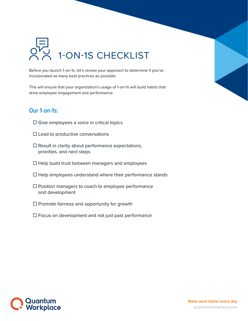

Before you launch 1-on-1s, let's review your approach to determine if you've incorporated as many best practices as possible.

This will ensure that your organization's usage of 1-on-1s will build habits that drive employee engagement and performance.

### **Our 1-on-1s:**

- $\Box$  Give employees a voice in critical topics
- $\square$  Lead to productive conversations
- $\square$  Result in clarity about performance expectations, priorities, and next steps
- $\Box$  Help build trust between managers and employees
- $\Box$  Help employees understand where their performance stands
- $\square$  Position managers to coach to employee performance and development
- $\square$  Promote fairness and opportunity for growth
- $\Box$  Focus on development and not just past performance

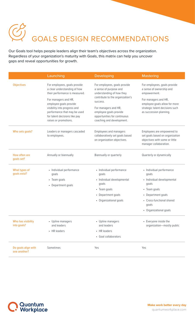# GOALS DESIGN RECOMMENDATIONS

Our Goals tool helps people leaders align their team's objectives across the organization. Regardless of your organization's maturity with Goals, this matrix can help you uncover gaps and reveal opportunities for growth.

|                                     | Launching                                                                                                                                        | <b>Developing</b>                                                                        | <b>Mastering</b>                                                                                                          |
|-------------------------------------|--------------------------------------------------------------------------------------------------------------------------------------------------|------------------------------------------------------------------------------------------|---------------------------------------------------------------------------------------------------------------------------|
| <b>Objectives</b>                   | For employees, goals provide<br>a clear understanding of how<br>their performance is measured.<br>For managers and HR,<br>employee goals provide | For employees, goals provide<br>a sense of purpose and<br>understanding of how they      | For employees, goals provide<br>a sense of ownership and<br>empowerment.                                                  |
|                                     |                                                                                                                                                  | contribute to the organization's<br>success.                                             | For managers and HR,<br>employee goals allow for more                                                                     |
|                                     | visibility into progress and<br>performance that may be used<br>for talent decisions like pay                                                    | For managers and HR,<br>employee goals provide<br>opportunities for continuous           | strategic talent decisions such<br>as succession planning.                                                                |
|                                     | raises or promotions.                                                                                                                            | coaching and development.                                                                |                                                                                                                           |
| Who sets goals?                     | Leaders or managers cascaded<br>to employees.                                                                                                    | Employees and managers<br>collaboratively set goals based<br>on organization objectives. | Employees are empowered to<br>set goals based on organization<br>objectives with some or little<br>manager collaboration. |
| How often are<br>goals set?         | Annually or biannually                                                                                                                           | Biannually or quarterly                                                                  | Quarterly or dynamically                                                                                                  |
| What types of<br>goals exist?       | • Individual performance<br>goals                                                                                                                | • Individual performance<br>goals                                                        | • Individual performance<br>goals                                                                                         |
|                                     | • Team goals<br>• Department goals                                                                                                               | · Individual developmental<br>goals                                                      | · Individual developmental<br>goals                                                                                       |
|                                     |                                                                                                                                                  | • Team goals                                                                             | • Team goals                                                                                                              |
|                                     |                                                                                                                                                  | • Department goals                                                                       | • Department goals                                                                                                        |
|                                     |                                                                                                                                                  | • Organizational goals                                                                   | • Cross-functional shared<br>goals                                                                                        |
|                                     |                                                                                                                                                  |                                                                                          | • Organizational goals                                                                                                    |
| Who has visibility<br>into goals?   | • Upline managers<br>and leaders                                                                                                                 | • Upline managers<br>and leaders                                                         | • Everyone inside the<br>organization-mostly public                                                                       |
|                                     | • HR leaders                                                                                                                                     | • HR leaders                                                                             |                                                                                                                           |
|                                     |                                                                                                                                                  | • Goal collaborators                                                                     |                                                                                                                           |
| Do goals align with<br>one another? | Sometimes                                                                                                                                        | Yes                                                                                      | Yes                                                                                                                       |

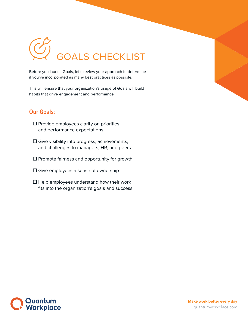# GOALS CHECKLIST

Before you launch Goals, let's review your approach to determine if you've incorporated as many best practices as possible.

This will ensure that your organization's usage of Goals will build habits that drive engagement and performance.

## **Our Goals:**

- $\square$  Provide employees clarity on priorities and performance expectations
- $\square$  Give visibility into progress, achievements, and challenges to managers, HR, and peers
- $\square$  Promote fairness and opportunity for growth
- $\square$  Give employees a sense of ownership
- $\Box$  Help employees understand how their work fits into the organization's goals and success

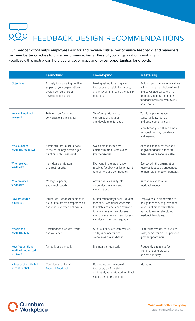# **LOOP FEEDBACK DESIGN RECOMMENDATIONS**

Our Feedback tool helps employees ask for and receive critical performance feedback, and managers become better coaches to drive performance. Regardless of your organization's maturity with Feedback, this matrix can help you uncover gaps and reveal opportunities for growth.

|                                                      | Launching                                                                                                           | <b>Developing</b>                                                                                                                                                                                        | <b>Mastering</b>                                                                                                                                                                        |
|------------------------------------------------------|---------------------------------------------------------------------------------------------------------------------|----------------------------------------------------------------------------------------------------------------------------------------------------------------------------------------------------------|-----------------------------------------------------------------------------------------------------------------------------------------------------------------------------------------|
| <b>Objectives</b>                                    | Actively incorporating feedback<br>as part of your organization's<br>overall performance or<br>development culture. | Making asking for and giving<br>feedback accessible to anyone,<br>at any level-improving the quality<br>of feedback.                                                                                     | Building an organizational culture<br>with a strong foundation of trust<br>and psychological safety that<br>promotes healthy and honest<br>feedback between employees<br>at all levels. |
| <b>How will feedback</b><br>be used?                 | To inform performance<br>conversations and ratings.                                                                 | To inform performance<br>conversations, ratings,<br>and developmental goals                                                                                                                              | To inform performance<br>conversations, ratings,<br>and developmental goals.                                                                                                            |
|                                                      |                                                                                                                     |                                                                                                                                                                                                          | More broadly, feedback drives<br>personal growth, confidence,<br>and learning.                                                                                                          |
| <b>Who launches</b><br>feedback requests?            | Administrators launch a cycle<br>to the entire organization, job<br>function, or business unit.                     | Cycles are launched by<br>administrators or employees<br>(for themselves).                                                                                                                               | Anyone can request feedback<br>or give feedback, either for<br>themselves or someone else.                                                                                              |
| <b>Who receives</b><br>feedback?                     | Individual contributors<br>or direct reports.                                                                       | Everyone in the organization<br>receives feedback as it's relevant<br>to their role and contributions.                                                                                                   | Everyone in the organization<br>receives feedback, unbounded<br>to their role or type of feedback.                                                                                      |
| <b>Who provides</b><br>feedback?                     | Managers, peers,<br>and direct reports.                                                                             | Anyone with visibility into<br>an employee's work and<br>contributions.                                                                                                                                  | Anyone relevant to the<br>feedback request.                                                                                                                                             |
| <b>How structured</b><br>is feedback?                | Structured. Feedback templates<br>are built to assess competencies<br>and other expected behaviors.                 | Structured for key needs like 360<br>feedback. Additional feedback<br>templates can be made available<br>for managers and employees to<br>use, or managers and employees<br>can design their own agenda. | Employees are empowered to<br>design feedback requests that<br>best suit their needs without<br>having to rely on structured<br>feedback templates.                                     |
| What is the<br>feedback about?                       | Performance progress, tasks,<br>and workload.                                                                       | Cultural behaviors, core values,<br>skills, or competencies-<br>sometimes project-based.                                                                                                                 | Cultural behaviors, core values,<br>skills, competencies, or personal<br>growth opportunities.                                                                                          |
| How frequently is<br>feedback requested<br>or given? | Annually or biannually                                                                                              | Biannually or quarterly                                                                                                                                                                                  | Frequently enough to feel<br>like an ongoing process-<br>at least quarterly                                                                                                             |
| Is feedback attributed<br>or confidential?           | Confidential or by using<br>Focused Feedback.                                                                       | Depending on the type of<br>feedback, confidential or<br>attributed, but attributed feedback<br>should be more common.                                                                                   | Attributed                                                                                                                                                                              |

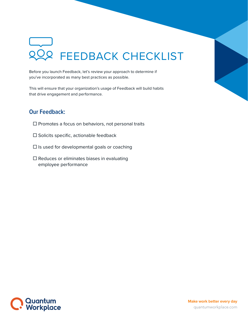## 22 FEEDBACK CHECKLIST

Before you launch Feedback, let's review your approach to determine if you've incorporated as many best practices as possible.

This will ensure that your organization's usage of Feedback will build habits that drive engagement and performance.

## **Our Feedback:**

- $\square$  Promotes a focus on behaviors, not personal traits
- $\square$  Solicits specific, actionable feedback
- $\square$  Is used for developmental goals or coaching
- $\square$  Reduces or eliminates biases in evaluating employee performance

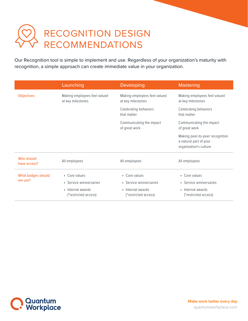## RECOGNITION DESIGN RECOMMENDATIONS

Our Recognition tool is simple to implement and use. Regardless of your organization's maturity with recognition, a simple approach can create immediate value in your organization.

|                            | Launching                                         | <b>Developing</b>                                 | <b>Mastering</b>                                                                    |
|----------------------------|---------------------------------------------------|---------------------------------------------------|-------------------------------------------------------------------------------------|
| <b>Objectives</b>          | Making employees feel valued<br>at key milestones | Making employees feel valued<br>at key milestones | Making employees feel valued<br>at key milestones                                   |
|                            |                                                   | Celebrating behaviors<br>that matter              | Celebrating behaviors<br>that matter                                                |
|                            |                                                   | Communicating the impact<br>of great work         | Communicating the impact<br>of great work                                           |
|                            |                                                   |                                                   | Making peer-to-peer recognition<br>a natural part of your<br>organization's culture |
| Who should<br>have access? | All employees                                     | All employees                                     | All employees                                                                       |
| What badges should         | • Core values                                     | • Core values                                     | • Core values                                                                       |
| we use?                    | • Service anniversaries                           | • Service anniversaries                           | • Service anniversaries                                                             |
|                            | • Internal awards                                 | • Internal awards                                 | • Internal awards                                                                   |
|                            | (*restricted access)                              | (*restricted access)                              | (*restricted access)                                                                |

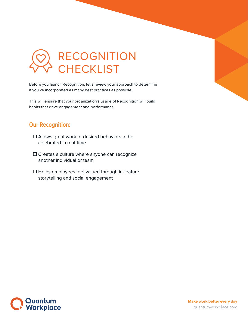

Before you launch Recognition, let's review your approach to determine if you've incorporated as many best practices as possible.

This will ensure that your organization's usage of Recognition will build habits that drive engagement and performance.

### **Our Recognition:**

- □ Allows great work or desired behaviors to be celebrated in real-time
- $\square$  Creates a culture where anyone can recognize another individual or team
- $\Box$  Helps employees feel valued through in-feature storytelling and social engagement

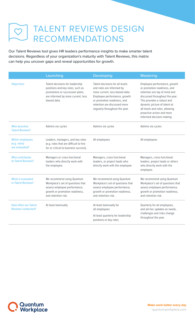## TALENT REVIEWS DESIGN  $\infty$ RECOMMENDATIONS

Our Talent Reviews tool gives HR leaders performance insights to make smarter talent decisions. Regardless of your organization's maturity with Talent Reviews, this matrix can help you uncover gaps and reveal opportunities for growth.

|                                                          | Launching                                                                                                                                                    | <b>Developing</b>                                                                                                                                                                                                                | <b>Mastering</b>                                                                                                                                                                                                                                                                         |
|----------------------------------------------------------|--------------------------------------------------------------------------------------------------------------------------------------------------------------|----------------------------------------------------------------------------------------------------------------------------------------------------------------------------------------------------------------------------------|------------------------------------------------------------------------------------------------------------------------------------------------------------------------------------------------------------------------------------------------------------------------------------------|
| <b>Objectives</b>                                        | Talent decisions for leadership<br>positions and key roles, such as<br>promotions or succession plans,<br>are informed by more current, less<br>biased data. | Talent decisions for all levels<br>and roles are informed by<br>more current, less biased data.<br>Employee performance, growth<br>or promotion readiness, and<br>retention are discussed more<br>regularly throughout the year. | Employee performance, growth<br>or promotion readiness, and<br>retention are top of mind and<br>discussed throughout the year.<br>This provides a robust and<br>dynamic picture of talent at<br>all levels and roles, allowing<br>proactive action and more<br>informed decision-making. |
| <b>Who launches</b><br><b>Talent Reviews?</b>            | Admins via cycles                                                                                                                                            | Admins via cycles                                                                                                                                                                                                                | Admins via cycles                                                                                                                                                                                                                                                                        |
| <b>Which employees</b><br>(e.g. roles)<br>are evaluated? | Leaders, managers, and key roles<br>(e.g. roles that are difficult to hire<br>for or critical to business success).                                          | All employees                                                                                                                                                                                                                    | All employees                                                                                                                                                                                                                                                                            |
| <b>Who contributes</b><br>to Talent Reviews?             | Managers or cross-functional<br>leaders who directly work with<br>the employee.                                                                              | Managers, cross-functional<br>leaders, or project leads who<br>directly work with the employee.                                                                                                                                  | Managers, cross-functional<br>leaders, project leads or others<br>who directly work with the<br>employee.                                                                                                                                                                                |
| <b>What is evaluated</b><br>in Talent Reviews?           | We recommend using Quantum<br>Workplace's set of questions that<br>assess employee performance,<br>growth or promotion readiness,<br>and retention risk.     | We recommend using Quantum<br>Workplace's set of questions that<br>assess employee performance,<br>growth or promotion readiness,<br>and retention risk.                                                                         | We recommend using Quantum<br>Workplace's set of questions that<br>assess employee performance,<br>growth or promotion readiness,<br>and retention risk.                                                                                                                                 |
| <b>How often are Talent</b><br><b>Reviews conducted?</b> | At least biannually                                                                                                                                          | At least biannually for<br>all employees                                                                                                                                                                                         | Quarterly for all employees,<br>and ad-hoc updates as needs,<br>challenges and risks change<br>throughout the year.                                                                                                                                                                      |
|                                                          |                                                                                                                                                              | At least quarterly for leadership<br>positions or key roles                                                                                                                                                                      |                                                                                                                                                                                                                                                                                          |